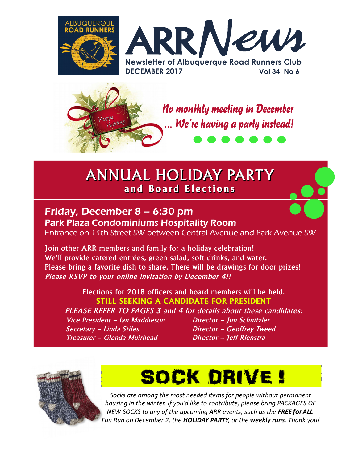



## ANNUAL HOLIDAY PARTY **and Board Elections**

## Friday, December 8 – 6:30 pm Park Plaza Condominiums Hospitality Room

Entrance on 14th Street SW between Central Avenue and Park Avenue SW

Join other ARR members and family for a holiday celebration! We'll provide catered entrées, green salad, soft drinks, and water. Please bring a favorite dish to share. There will be drawings for door prizes! Please RSVP to your online invitation by December 4!!

Elections for 2018 officers and board members will be held. **STILL SEEKING A CANDIDATE FOR PRESIDENT** PLEASE REFER TO PAGES 3 and 4 for details about these candidates: Vice President - Ian Maddieson Director - Jim Schnitzler

Secretary – Linda Stiles Director – Geoffrey Tweed Treasurer – Glenda Muirhead Director – Jeff Rienstra

SOCK DRIVE !

*Socks are among the most needed items for people without permanent housing in the winter. If you'd like to contribute, please bring PACKAGES OF NEW SOCKS to any of the upcoming ARR events, such as the FREE forALL Fun Run on December 2, the HOLIDAY PARTY, or the weekly runs. Thank you!*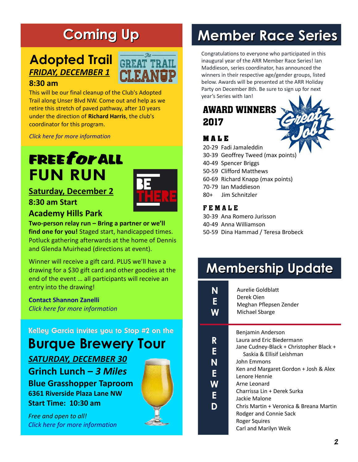# **Coming Up**

## *FRIDAY, DECEMBER 1* **Adopted Trail**

#### **8:30 am**

This will be our final cleanup of the Club's Adopted Trail along Unser Blvd NW. Come out and help as we retire this stretch of paved pathway, after 10 years under the direction of **Richard Harris**, the club's coordinator for this program.

*[Click here for more information](http://www.abqroadrunners.com/adopted-trail-cleanup.html)*

# FREEfor ALL **FUN RUN**

### **Saturday, December 2**



#### **Academy Hills Park**

**8:30 am Start**

**Two-person relay run – Bring a partner or we'll find one for you!** Staged start, handicapped times. Potluck gathering afterwards at the home of Dennis and Glenda Muirhead (directions at event).

Winner will receive a gift card. PLUS we'll have a drawing for a \$30 gift card and other goodies at the end of the event … all participants will receive an entry into the drawing!

**[Contact Shannon Zanelli](mailto:handicaps@abqroadrunners.com)** *[Click here for more information](http://www.abqroadrunners.com/freeforall-fun-runs.html)*

Kelley Garcia invites you to Stop #2 on the

# **Burque Brewery Tour**

*SATURDAY, DECEMBER 30* **Grinch Lunch –** *3 Miles* **Blue Grasshopper Taproom 6361 Riverside Plaza Lane NW Start Time: 10:30 am**

*Free and open to all! [Click here for more information](http://www.abqroadrunners.com/burque-brewery-tour-2017-2018.html)*

# **Member Race Series**

Congratulations to everyone who participated in this inaugural year of the ARR Member Race Series! Ian Maddieson, series coordinator, has announced the winners in their respective age/gender groups, listed below. Awards will be presented at the ARR Holiday Party on December 8th. Be sure to sign up for next year's Series with [Ian!](mailto:director1@abqroadrunners.com)

## AWARD WINNERS 2017



#### **M A L E**

- 20-29 Fadi Jamaleddin
- 30-39 Geoffrey Tweed (max points)
- 40-49 Spencer Briggs
- 50-59 Clifford Matthews
- 60-69 Richard Knapp (max points)
- 70-79 Ian Maddieson
- 80+ Jim Schnitzler

#### F E M A L E

- 30-39 Ana Romero Jurisson
- 40-49 Anna Williamson
- 50-59 Dina Hammad / Teresa Brobeck

# **Membership Update**

| N<br>E<br>$\overline{\mathsf{M}}$ | Aurelie Goldblatt<br>Derek Oien<br>Meghan Pflepsen Zender<br>Michael Sbarge                                                                                                                                                                                                                                                                                                    |
|-----------------------------------|--------------------------------------------------------------------------------------------------------------------------------------------------------------------------------------------------------------------------------------------------------------------------------------------------------------------------------------------------------------------------------|
| R<br>E<br>N<br>Е<br>W<br>E        | Benjamin Anderson<br>Laura and Eric Biedermann<br>Jane Cudney-Black + Christopher Black +<br>Saskia & Ellisif Leishman<br>John Emmons<br>Ken and Margaret Gordon + Josh & Alex<br>Lenore Hennie<br>Arne Leonard<br>Charrissa Lin + Derek Surka<br>Jackie Malone<br>Chris Martin + Veronica & Breana Martin<br>Rodger and Connie Sack<br>Roger Squires<br>Carl and Marilyn Weik |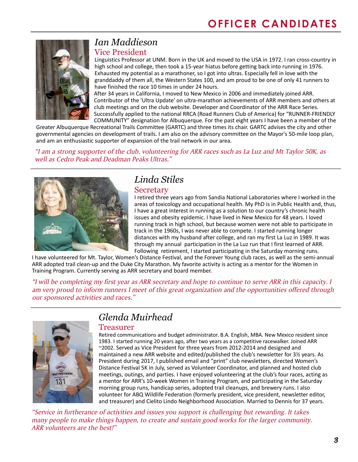

#### *Ian Maddieson* Vice President

Linguistics Professor at UNM. Born in the UK and moved to the USA in 1972. I ran cross-country in high school and college, then took a 15-year hiatus before getting back into running in 1976. Exhausted my potential as a marathoner, so I got into ultras. Especially fell in love with the granddaddy of them all, the Western States 100, and am proud to be one of only 41 runners to have finished the race 10 times in under 24 hours.

After 34 years in California, I moved to New Mexico in 2006 and immediately joined ARR. Contributor of the 'Ultra Update' on ultra-marathon achievements of ARR members and others at club meetings and on the club website. Developer and Coordinator of the ARR Race Series. Successfully applied to the national RRCA (Road Runners Club of America) for "RUNNER-FRIENDLY COMMUNITY" designation for Albuquerque. For the past eight years I have been a member of the

Greater Albuquerque Recreational Trails Committee (GARTC) and three times its chair. GARTC advises the city and other governmental agencies on development of trails. I am also on the advisory committee on the Mayor's 50-mile loop plan, and am an enthusiastic supporter of expansion of the trail network in our area.

*"I am a strong supporter of the club, volunteering for ARR races such as La Luz and Mt Taylor 50K, as well as Cedro Peak and Deadman Peaks Ultras."*



#### *Linda Stiles* **Secretary**

I retired three years ago from Sandia National Laboratories where I worked in the areas of toxicology and occupational health. My PhD is in Public Health and, thus, I have a great interest in running as a solution to our country's chronic health issues and obesity epidemic. I have lived in New Mexico for 48 years. I loved running track in high school, but because women were not able to participate in track in the 1960s, I was never able to compete. I started running longer distances with my husband after college, and ran my first La Luz in 1989. It was through my annual participation in the La Luz run that I first learned of ARR. Following retirement, I started participating in the Saturday morning runs.

I have volunteered for Mt. Taylor, Women's Distance Festival, and the Forever Young club races, as well as the semi-annual ARR adopted trail clean-up and the Duke City Marathon. My favorite activity is acting as a mentor for the Women in Training Program. Currently serving as ARR secretary and board member.

*"I will be completing my first year as ARR secretary and hope to continue to serve ARR in this capacity. I am very proud to inform runners I meet of this great organization and the opportunities offered through our sponsored activities and races."*



## *Glenda Muirhead*

#### Treasurer

Retired communications and budget administrator. B.A. English, MBA. New Mexico resident since 1983. I started running 20 years ago, after two years as a competitive racewalker. Joined ARR ~2002. Served as Vice President for three years from 2012-2014 and designed and maintained a new ARR website and edited/published the club's newsletter for 3½ years. As President during 2017, I published email and "print" club newsletters, directed Women's Distance Festival 5K in July, served as Volunteer Coordinator, and planned and hosted club meetings, outings, and parties. I have enjoyed volunteering at the club's four races, acting as a mentor for ARR's 10-week Women in Training Program, and participating in the Saturday morning group runs, handicap series, adopted trail cleanups, and brewery runs. I also volunteer for ABQ Wildlife Federation (formerly president, vice president, newsletter editor, and treasurer) and Cielito Lindo Neighborhood Association. Married to Dennis for 37 years.

*"Service in furtherance of activities and issues you support is challenging but rewarding. It takes many people to make things happen, to create and sustain good works for the larger community. ARR volunteers are the best!"*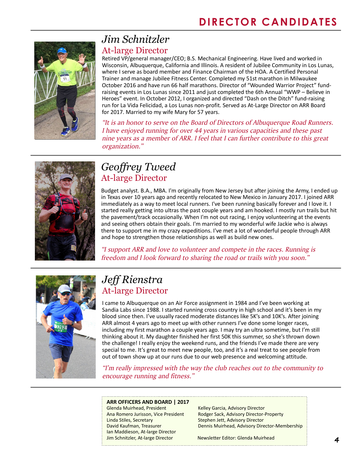

### *Jim Schnitzler* At-large Director

Retired VP/general manager/CEO; B.S. Mechanical Engineering. Have lived and worked in Wisconsin, Albuquerque, California and Illinois. A resident of Jubilee Community in Los Lunas, where I serve as board member and Finance Chairman of the HOA. A Certified Personal Trainer and manage Jubilee Fitness Center. Completed my 51st marathon in Milwaukee October 2016 and have run 66 half marathons. Director of "Wounded Warrior Project" fundraising events in Los Lunas since 2011 and just completed the 6th Annual "WWP – Believe in Heroes" event. In October 2012, I organized and directed "Dash on the Ditch" fund-raising run for La Vida Felicidad, a Los Lunas non-profit. Served as At-Large Director on ARR Board for 2017. Married to my wife Mary for 57 years.

*"It is an honor to serve on the Board of Directors of Albuquerque Road Runners. I have enjoyed running for over 44 years in various capacities and these past nine years as a member of ARR. I feel that I can further contribute to this great organization."*



### *Geoffrey Tweed* At-large Director

Budget analyst. B.A., MBA. I'm originally from New Jersey but after joining the Army, I ended up in Texas over 10 years ago and recently relocated to New Mexico in January 2017. I joined ARR immediately as a way to meet local runners. I've been running basically forever and I love it. I started really getting into ultras the past couple years and am hooked. I mostly run trails but hit the pavement/track occasionally. When I'm not out racing, I enjoy volunteering at the events and seeing others obtain their goals. I'm married to my wonderful wife Jackie who is always there to support me in my crazy expeditions. I've met a lot of wonderful people through ARR and hope to strengthen those relationships as well as build new ones.

*"I support ARR and love to volunteer and compete in the races. Running is freedom and I look forward to sharing the road or trails with you soon."*



## *Jeff Rienstra* At-large Director

I came to Albuquerque on an Air Force assignment in 1984 and I've been working at Sandia Labs since 1988. I started running cross country in high school and it's been in my blood since then. I've usually raced moderate distances like 5K's and 10K's. After joining ARR almost 4 years ago to meet up with other runners I've done some longer races, including my first marathon a couple years ago. I may try an ultra sometime, but I'm still thinking about it. My daughter finished her first 50K this summer, so she's thrown down the challenge! I really enjoy the weekend runs, and the friends I've made there are very special to me. It's great to meet new people, too, and it's a real treat to see people from out of town show up at our runs due to our web presence and welcoming attitude.

*"I'm really impressed with the way the club reaches out to the community to encourage running and fitness."*

#### **ARR OFFICERS AND BOARD | 2017**

Glenda Muirhead, President Kelley Garcia, Advisory Director Linda Stiles, Secretary Stephen Jett, Advisory Director Ian Maddieson, At-large Director Jim Schnitzler, At-large Director Newsletter Editor: Glenda Muirhead

Ana Romero Jurisson, Vice President Rodger Sack, Advisory Director-Property David Kaufman, Treasurer Dennis Muirhead, Advisory Director-Membership